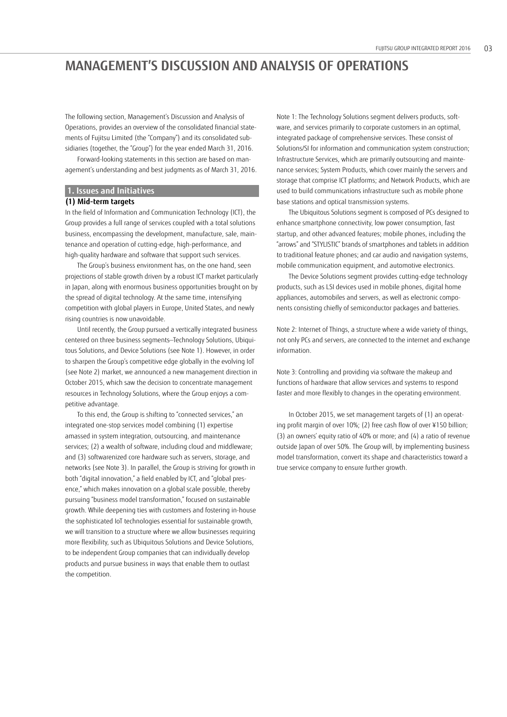The following section, Management's Discussion and Analysis of Operations, provides an overview of the consolidated financial statements of Fujitsu Limited (the "Company") and its consolidated subsidiaries (together, the "Group") for the year ended March 31, 2016.

Forward-looking statements in this section are based on management's understanding and best judgments as of March 31, 2016.

# **1. Issues and Initiatives**

# **(1) Mid-term targets**

In the field of Information and Communication Technology (ICT), the Group provides a full range of services coupled with a total solutions business, encompassing the development, manufacture, sale, maintenance and operation of cutting-edge, high-performance, and high-quality hardware and software that support such services.

The Group's business environment has, on the one hand, seen projections of stable growth driven by a robust ICT market particularly in Japan, along with enormous business opportunities brought on by the spread of digital technology. At the same time, intensifying competition with global players in Europe, United States, and newly rising countries is now unavoidable.

Until recently, the Group pursued a vertically integrated business centered on three business segments—Technology Solutions, Ubiquitous Solutions, and Device Solutions (see Note 1). However, in order to sharpen the Group's competitive edge globally in the evolving IoT (see Note 2) market, we announced a new management direction in October 2015, which saw the decision to concentrate management resources in Technology Solutions, where the Group enjoys a competitive advantage.

To this end, the Group is shifting to "connected services," an integrated one-stop services model combining (1) expertise amassed in system integration, outsourcing, and maintenance services; (2) a wealth of software, including cloud and middleware; and (3) softwarenized core hardware such as servers, storage, and networks (see Note 3). In parallel, the Group is striving for growth in both "digital innovation," a field enabled by ICT, and "global presence," which makes innovation on a global scale possible, thereby pursuing "business model transformation," focused on sustainable growth. While deepening ties with customers and fostering in-house the sophisticated IoT technologies essential for sustainable growth, we will transition to a structure where we allow businesses requiring more flexibility, such as Ubiquitous Solutions and Device Solutions, to be independent Group companies that can individually develop products and pursue business in ways that enable them to outlast the competition.

Note 1: The Technology Solutions segment delivers products, software, and services primarily to corporate customers in an optimal, integrated package of comprehensive services. These consist of Solutions/SI for information and communication system construction; Infrastructure Services, which are primarily outsourcing and maintenance services; System Products, which cover mainly the servers and storage that comprise ICT platforms; and Network Products, which are used to build communications infrastructure such as mobile phone base stations and optical transmission systems.

The Ubiquitous Solutions segment is composed of PCs designed to enhance smartphone connectivity, low power consumption, fast startup, and other advanced features; mobile phones, including the "arrows" and "STYLISTIC" brands of smartphones and tablets in addition to traditional feature phones; and car audio and navigation systems, mobile communication equipment, and automotive electronics.

The Device Solutions segment provides cutting-edge technology products, such as LSI devices used in mobile phones, digital home appliances, automobiles and servers, as well as electronic components consisting chiefly of semiconductor packages and batteries.

Note 2: Internet of Things, a structure where a wide variety of things, not only PCs and servers, are connected to the internet and exchange information.

Note 3: Controlling and providing via software the makeup and functions of hardware that allow services and systems to respond faster and more flexibly to changes in the operating environment.

In October 2015, we set management targets of (1) an operating profit margin of over 10%; (2) free cash flow of over ¥150 billion; (3) an owners' equity ratio of 40% or more; and (4) a ratio of revenue outside Japan of over 50%. The Group will, by implementing business model transformation, convert its shape and characteristics toward a true service company to ensure further growth.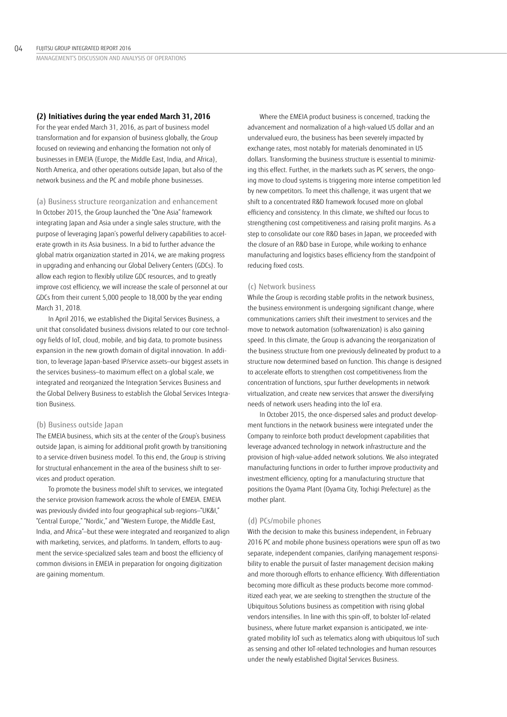### **(2) Initiatives during the year ended March 31, 2016**

For the year ended March 31, 2016, as part of business model transformation and for expansion of business globally, the Group focused on reviewing and enhancing the formation not only of businesses in EMEIA (Europe, the Middle East, India, and Africa), North America, and other operations outside Japan, but also of the network business and the PC and mobile phone businesses.

(a) Business structure reorganization and enhancement In October 2015, the Group launched the "One Asia" framework integrating Japan and Asia under a single sales structure, with the purpose of leveraging Japan's powerful delivery capabilities to accelerate growth in its Asia business. In a bid to further advance the global matrix organization started in 2014, we are making progress in upgrading and enhancing our Global Delivery Centers (GDCs). To allow each region to flexibly utilize GDC resources, and to greatly improve cost efficiency, we will increase the scale of personnel at our GDCs from their current 5,000 people to 18,000 by the year ending March 31, 2018.

In April 2016, we established the Digital Services Business, a unit that consolidated business divisions related to our core technology fields of IoT, cloud, mobile, and big data, to promote business expansion in the new growth domain of digital innovation. In addition, to leverage Japan-based IP/service assets—our biggest assets in the services business—to maximum effect on a global scale, we integrated and reorganized the Integration Services Business and the Global Delivery Business to establish the Global Services Integration Business.

### (b) Business outside Japan

The EMEIA business, which sits at the center of the Group's business outside Japan, is aiming for additional profit growth by transitioning to a service-driven business model. To this end, the Group is striving for structural enhancement in the area of the business shift to services and product operation.

To promote the business model shift to services, we integrated the service provision framework across the whole of EMEIA. EMEIA was previously divided into four geographical sub-regions—"UK&I," "Central Europe," "Nordic," and "Western Europe, the Middle East, India, and Africa"—but these were integrated and reorganized to align with marketing, services, and platforms. In tandem, efforts to augment the service-specialized sales team and boost the efficiency of common divisions in EMEIA in preparation for ongoing digitization are gaining momentum.

Where the EMEIA product business is concerned, tracking the advancement and normalization of a high-valued US dollar and an undervalued euro, the business has been severely impacted by exchange rates, most notably for materials denominated in US dollars. Transforming the business structure is essential to minimizing this effect. Further, in the markets such as PC servers, the ongoing move to cloud systems is triggering more intense competition led by new competitors. To meet this challenge, it was urgent that we shift to a concentrated R&D framework focused more on global efficiency and consistency. In this climate, we shifted our focus to strengthening cost competitiveness and raising profit margins. As a step to consolidate our core R&D bases in Japan, we proceeded with the closure of an R&D base in Europe, while working to enhance manufacturing and logistics bases efficiency from the standpoint of reducing fixed costs.

### (c) Network business

While the Group is recording stable profits in the network business, the business environment is undergoing significant change, where communications carriers shift their investment to services and the move to network automation (softwarenization) is also gaining speed. In this climate, the Group is advancing the reorganization of the business structure from one previously delineated by product to a structure now determined based on function. This change is designed to accelerate efforts to strengthen cost competitiveness from the concentration of functions, spur further developments in network virtualization, and create new services that answer the diversifying needs of network users heading into the IoT era.

In October 2015, the once-dispersed sales and product development functions in the network business were integrated under the Company to reinforce both product development capabilities that leverage advanced technology in network infrastructure and the provision of high-value-added network solutions. We also integrated manufacturing functions in order to further improve productivity and investment efficiency, opting for a manufacturing structure that positions the Oyama Plant (Oyama City, Tochigi Prefecture) as the mother plant.

#### (d) PCs/mobile phones

With the decision to make this business independent, in February 2016 PC and mobile phone business operations were spun off as two separate, independent companies, clarifying management responsibility to enable the pursuit of faster management decision making and more thorough efforts to enhance efficiency. With differentiation becoming more difficult as these products become more commoditized each year, we are seeking to strengthen the structure of the Ubiquitous Solutions business as competition with rising global vendors intensifies. In line with this spin-off, to bolster IoT-related business, where future market expansion is anticipated, we integrated mobility IoT such as telematics along with ubiquitous IoT such as sensing and other IoT-related technologies and human resources under the newly established Digital Services Business.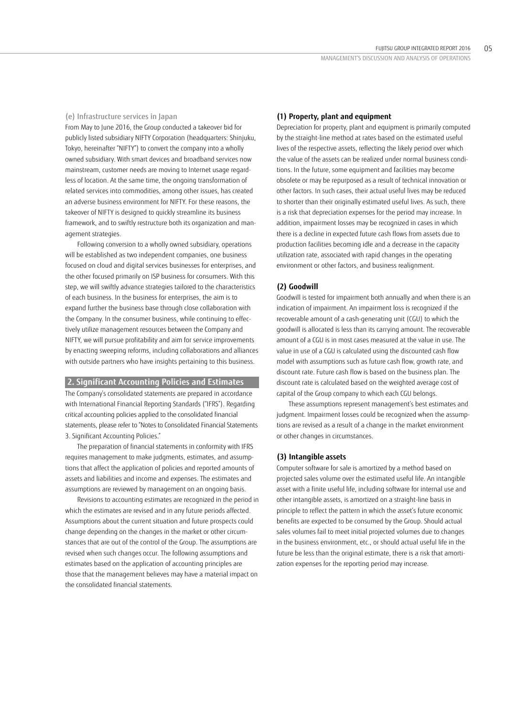#### (e) Infrastructure services in Japan

From May to June 2016, the Group conducted a takeover bid for publicly listed subsidiary NIFTY Corporation (headquarters: Shinjuku, Tokyo, hereinafter "NIFTY") to convert the company into a wholly owned subsidiary. With smart devices and broadband services now mainstream, customer needs are moving to Internet usage regardless of location. At the same time, the ongoing transformation of related services into commodities, among other issues, has created an adverse business environment for NIFTY. For these reasons, the takeover of NIFTY is designed to quickly streamline its business framework, and to swiftly restructure both its organization and management strategies.

Following conversion to a wholly owned subsidiary, operations will be established as two independent companies, one business focused on cloud and digital services businesses for enterprises, and the other focused primarily on ISP business for consumers. With this step, we will swiftly advance strategies tailored to the characteristics of each business. In the business for enterprises, the aim is to expand further the business base through close collaboration with the Company. In the consumer business, while continuing to effectively utilize management resources between the Company and NIFTY, we will pursue profitability and aim for service improvements by enacting sweeping reforms, including collaborations and alliances with outside partners who have insights pertaining to this business.

# **2. Significant Accounting Policies and Estimates**

 The Company's consolidated statements are prepared in accordance statements, please refer to "Notes to Consolidated Financial Statements with International Financial Reporting Standards ("IFRS"). Regarding critical accounting policies applied to the consolidated financial 3. Significant Accounting Policies."

The preparation of financial statements in conformity with IFRS requires management to make judgments, estimates, and assumptions that affect the application of policies and reported amounts of assets and liabilities and income and expenses. The estimates and assumptions are reviewed by management on an ongoing basis.

Revisions to accounting estimates are recognized in the period in which the estimates are revised and in any future periods affected. Assumptions about the current situation and future prospects could change depending on the changes in the market or other circumstances that are out of the control of the Group. The assumptions are revised when such changes occur. The following assumptions and estimates based on the application of accounting principles are those that the management believes may have a material impact on the consolidated financial statements.

# **(1) Property, plant and equipment**

Depreciation for property, plant and equipment is primarily computed by the straight-line method at rates based on the estimated useful lives of the respective assets, reflecting the likely period over which the value of the assets can be realized under normal business conditions. In the future, some equipment and facilities may become obsolete or may be repurposed as a result of technical innovation or other factors. In such cases, their actual useful lives may be reduced to shorter than their originally estimated useful lives. As such, there is a risk that depreciation expenses for the period may increase. In addition, impairment losses may be recognized in cases in which there is a decline in expected future cash flows from assets due to production facilities becoming idle and a decrease in the capacity utilization rate, associated with rapid changes in the operating environment or other factors, and business realignment.

### **(2) Goodwill**

Goodwill is tested for impairment both annually and when there is an indication of impairment. An impairment loss is recognized if the recoverable amount of a cash-generating unit (CGU) to which the goodwill is allocated is less than its carrying amount. The recoverable amount of a CGU is in most cases measured at the value in use. The value in use of a CGU is calculated using the discounted cash flow model with assumptions such as future cash flow, growth rate, and discount rate. Future cash flow is based on the business plan. The discount rate is calculated based on the weighted average cost of capital of the Group company to which each CGU belongs.

These assumptions represent management's best estimates and judgment. Impairment losses could be recognized when the assumptions are revised as a result of a change in the market environment or other changes in circumstances.

# **(3) Intangible assets**

Computer software for sale is amortized by a method based on projected sales volume over the estimated useful life. An intangible asset with a finite useful life, including software for internal use and other intangible assets, is amortized on a straight-line basis in principle to reflect the pattern in which the asset's future economic benefits are expected to be consumed by the Group. Should actual sales volumes fail to meet initial projected volumes due to changes in the business environment, etc., or should actual useful life in the future be less than the original estimate, there is a risk that amortization expenses for the reporting period may increase.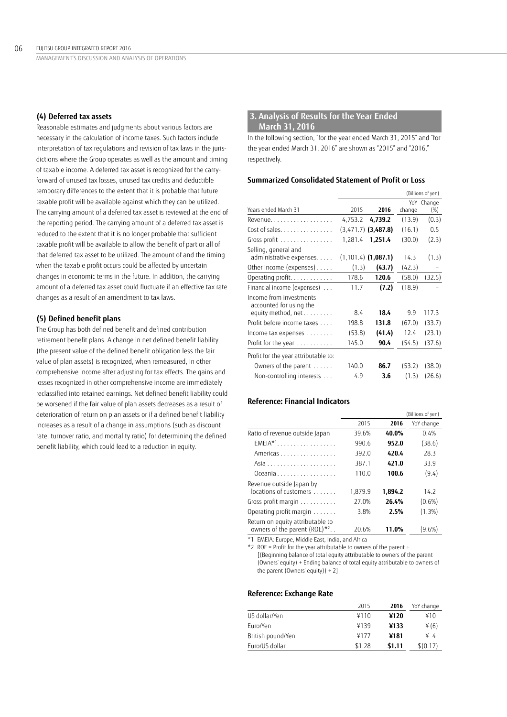### **(4) Deferred tax assets**

Reasonable estimates and judgments about various factors are necessary in the calculation of income taxes. Such factors include interpretation of tax regulations and revision of tax laws in the jurisdictions where the Group operates as well as the amount and timing of taxable income. A deferred tax asset is recognized for the carryforward of unused tax losses, unused tax credits and deductible temporary differences to the extent that it is probable that future taxable profit will be available against which they can be utilized. The carrying amount of a deferred tax asset is reviewed at the end of the reporting period. The carrying amount of a deferred tax asset is reduced to the extent that it is no longer probable that sufficient taxable profit will be available to allow the benefit of part or all of that deferred tax asset to be utilized. The amount of and the timing when the taxable profit occurs could be affected by uncertain changes in economic terms in the future. In addition, the carrying amount of a deferred tax asset could fluctuate if an effective tax rate changes as a result of an amendment to tax laws.

# **(5) Defined benefit plans**

The Group has both defined benefit and defined contribution retirement benefit plans. A change in net defined benefit liability (the present value of the defined benefit obligation less the fair value of plan assets) is recognized, when remeasured, in other comprehensive income after adjusting for tax effects. The gains and losses recognized in other comprehensive income are immediately reclassified into retained earnings. Net defined benefit liability could be worsened if the fair value of plan assets decreases as a result of deterioration of return on plan assets or if a defined benefit liability increases as a result of a change in assumptions (such as discount rate, turnover ratio, and mortality ratio) for determining the defined benefit liability, which could lead to a reduction in equity.

# **3. Analysis of Results for the Year Ended March 31, 2016**

In the following section, "for the year ended March 31, 2015" and "for the year ended March 31, 2016" are shown as "2015" and "2016," respectively.

### **Summarized Consolidated Statement of Profit or Loss**

|                                                                          |         |                        |        | (Billions of yen) |
|--------------------------------------------------------------------------|---------|------------------------|--------|-------------------|
| Years ended March 31                                                     | 2015    | 2016                   | change | YoY Change<br>(%) |
| Revenue.                                                                 | 4,753.2 | 4,739.2                | (13.9) | (0.3)             |
| Cost of sales.                                                           |         | $(3,471.7)$ (3,487.8)  | (16.1) | 0.5               |
| Gross profit                                                             | 1,281.4 | 1,251.4                | (30.0) | (2.3)             |
| Selling, general and<br>administrative expenses                          |         | $(1, 101.4)$ (1,087.1) | 14.3   | (1.3)             |
| Other income (expenses)                                                  | (1.3)   | (43.7)                 | (42.3) | $\qquad \qquad -$ |
| Operating profit.                                                        | 178.6   | 120.6                  | (58.0) | (32.5)            |
| Financial income (expenses)                                              | 11.7    | (7.2)                  | (18.9) |                   |
| Income from investments<br>accounted for using the<br>equity method, net | 8.4     | 18.4                   | 9.9    | 117.3             |
| Profit before income taxes                                               | 198.8   | 131.8                  | (67.0) | (33.7)            |
| Income tax expenses                                                      | (53.8)  | (41.4)                 | 12.4   | (23.1)            |
| Profit for the year                                                      | 145.0   | 90.4                   | (54.5) | (37.6)            |
| Profit for the year attributable to:                                     |         |                        |        |                   |
| Owners of the parent                                                     | 140.0   | 86.7                   | (53.2) | (38.0)            |
| Non-controlling interests                                                | 4.9     | 3.6                    | (1.3)  | (26.6)            |

### **Reference: Financial Indicators**

|                                                                  |         |         | (Billions of yen) |
|------------------------------------------------------------------|---------|---------|-------------------|
|                                                                  | 2015    | 2016    | YoY change        |
| Ratio of revenue outside Japan                                   | 39.6%   | 40.0%   | 0.4%              |
| $EMEIA*1$                                                        | 990.6   | 952.0   | (38.6)            |
| Americas                                                         | 392.0   | 420.4   | 28.3              |
|                                                                  | 387.1   | 421.0   | 33.9              |
| Oceania                                                          | 110.0   | 100.6   | (9.4)             |
| Revenue outside Japan by<br>locations of customers               | 1,879.9 | 1,894.2 | 14.2              |
|                                                                  |         |         |                   |
| Gross profit margin                                              | 27.0%   | 26.4%   | $(0.6\%)$         |
| Operating profit margin                                          | 3.8%    | 2.5%    | $(1.3\%)$         |
| Return on equity attributable to<br>owners of the parent (ROE)*2 | 20.6%   | 11.0%   | $(9.6\%)$         |

\*1 EMEIA: Europe, Middle East, India, and Africa

 \*2 ROE = Profit for the year attributable to owners of the parent ÷ [(Beginning balance of total equity attributable to owners of the parent (Owners' equity) + Ending balance of total equity attributable to owners of the parent (Owners' equity))  $\div$  2]

# **Reference: Exchange Rate**

|                   | 2015   | 2016   | YoY change  |
|-------------------|--------|--------|-------------|
| US dollar/Yen     | ¥110   | ¥120   | ¥10         |
| Euro/Yen          | ¥139   | ¥133   | $\angle(6)$ |
| British pound/Yen | ¥177   | ¥181   | ¥4          |
| Euro/US dollar    | \$1.28 | \$1.11 | \$(0.17)    |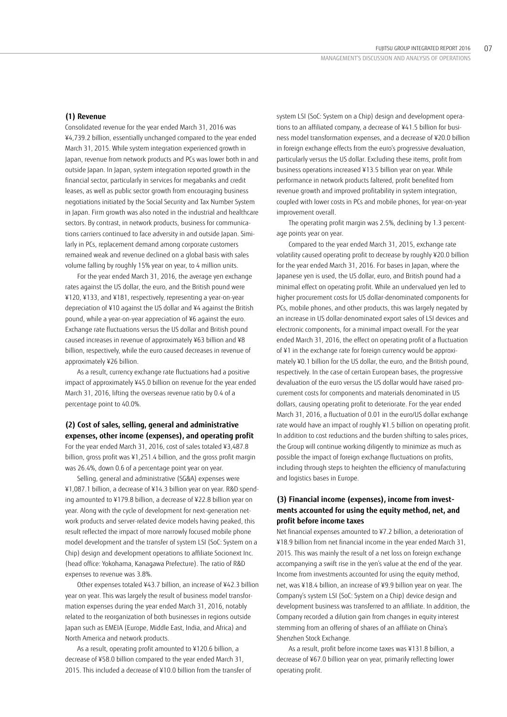Consolidated revenue for the year ended March 31, 2016 was ¥4,739.2 billion, essentially unchanged compared to the year ended March 31, 2015. While system integration experienced growth in Japan, revenue from network products and PCs was lower both in and outside Japan. In Japan, system integration reported growth in the financial sector, particularly in services for megabanks and credit leases, as well as public sector growth from encouraging business negotiations initiated by the Social Security and Tax Number System in Japan. Firm growth was also noted in the industrial and healthcare sectors. By contrast, in network products, business for communications carriers continued to face adversity in and outside Japan. Similarly in PCs, replacement demand among corporate customers remained weak and revenue declined on a global basis with sales volume falling by roughly 15% year on year, to 4 million units.

For the year ended March 31, 2016, the average yen exchange rates against the US dollar, the euro, and the British pound were ¥120, ¥133, and ¥181, respectively, representing a year-on-year depreciation of ¥10 against the US dollar and ¥4 against the British pound, while a year-on-year appreciation of ¥6 against the euro. Exchange rate fluctuations versus the US dollar and British pound caused increases in revenue of approximately ¥63 billion and ¥8 billion, respectively, while the euro caused decreases in revenue of approximately ¥26 billion.

As a result, currency exchange rate fluctuations had a positive impact of approximately ¥45.0 billion on revenue for the year ended March 31, 2016, lifting the overseas revenue ratio by 0.4 of a percentage point to 40.0%.

# **(2) Cost of sales, selling, general and administrative expenses, other income (expenses), and operating profit**

For the year ended March 31, 2016, cost of sales totaled ¥3,487.8 billion, gross profit was ¥1,251.4 billion, and the gross profit margin was 26.4%, down 0.6 of a percentage point year on year.

Selling, general and administrative (SG&A) expenses were ¥1,087.1 billion, a decrease of ¥14.3 billion year on year. R&D spending amounted to ¥179.8 billion, a decrease of ¥22.8 billion year on year. Along with the cycle of development for next-generation network products and server-related device models having peaked, this result reflected the impact of more narrowly focused mobile phone model development and the transfer of system LSI (SoC: System on a Chip) design and development operations to affiliate Socionext Inc. (head office: Yokohama, Kanagawa Prefecture). The ratio of R&D expenses to revenue was 3.8%.

Other expenses totaled ¥43.7 billion, an increase of ¥42.3 billion year on year. This was largely the result of business model transformation expenses during the year ended March 31, 2016, notably related to the reorganization of both businesses in regions outside Japan such as EMEIA (Europe, Middle East, India, and Africa) and North America and network products.

As a result, operating profit amounted to ¥120.6 billion, a decrease of ¥58.0 billion compared to the year ended March 31, 2015. This included a decrease of ¥10.0 billion from the transfer of

system LSI (SoC: System on a Chip) design and development operations to an affiliated company, a decrease of ¥41.5 billion for business model transformation expenses, and a decrease of ¥20.0 billion in foreign exchange effects from the euro's progressive devaluation, particularly versus the US dollar. Excluding these items, profit from business operations increased ¥13.5 billion year on year. While performance in network products faltered, profit benefited from revenue growth and improved profitability in system integration, coupled with lower costs in PCs and mobile phones, for year-on-year improvement overall.

The operating profit margin was 2.5%, declining by 1.3 percentage points year on year.

Compared to the year ended March 31, 2015, exchange rate volatility caused operating profit to decrease by roughly ¥20.0 billion for the year ended March 31, 2016. For bases in Japan, where the Japanese yen is used, the US dollar, euro, and British pound had a minimal effect on operating profit. While an undervalued yen led to higher procurement costs for US dollar-denominated components for PCs, mobile phones, and other products, this was largely negated by an increase in US dollar-denominated export sales of LSI devices and electronic components, for a minimal impact overall. For the year ended March 31, 2016, the effect on operating profit of a fluctuation of ¥1 in the exchange rate for foreign currency would be approximately ¥0.1 billion for the US dollar, the euro, and the British pound, respectively. In the case of certain European bases, the progressive devaluation of the euro versus the US dollar would have raised procurement costs for components and materials denominated in US dollars, causing operating profit to deteriorate. For the year ended March 31, 2016, a fluctuation of 0.01 in the euro/US dollar exchange rate would have an impact of roughly ¥1.5 billion on operating profit. In addition to cost reductions and the burden shifting to sales prices, the Group will continue working diligently to minimize as much as possible the impact of foreign exchange fluctuations on profits, including through steps to heighten the efficiency of manufacturing and logistics bases in Europe.

# **(3) Financial income (expenses), income from investments accounted for using the equity method, net, and profit before income taxes**

Net financial expenses amounted to ¥7.2 billion, a deterioration of ¥18.9 billion from net financial income in the year ended March 31, 2015. This was mainly the result of a net loss on foreign exchange accompanying a swift rise in the yen's value at the end of the year. Income from investments accounted for using the equity method, net, was ¥18.4 billion, an increase of ¥9.9 billion year on year. The Company's system LSI (SoC: System on a Chip) device design and development business was transferred to an affiliate. In addition, the Company recorded a dilution gain from changes in equity interest stemming from an offering of shares of an affiliate on China's Shenzhen Stock Exchange.

As a result, profit before income taxes was ¥131.8 billion, a decrease of ¥67.0 billion year on year, primarily reflecting lower operating profit.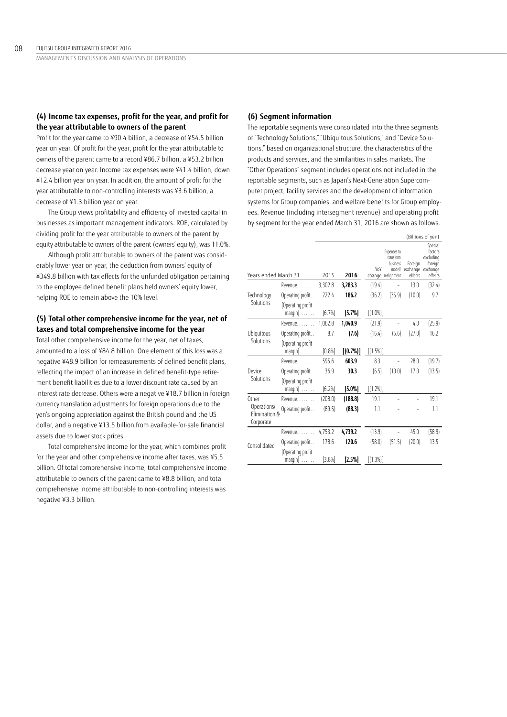# **(4) Income tax expenses, profit for the year, and profit for the year attributable to owners of the parent**

Profit for the year came to ¥90.4 billion, a decrease of ¥54.5 billion year on year. Of profit for the year, profit for the year attributable to owners of the parent came to a record ¥86.7 billion, a ¥53.2 billion decrease year on year. Income tax expenses were ¥41.4 billion, down ¥12.4 billion year on year. In addition, the amount of profit for the year attributable to non-controlling interests was ¥3.6 billion, a decrease of ¥1.3 billion year on year.

The Group views profitability and efficiency of invested capital in businesses as important management indicators. ROE, calculated by dividing profit for the year attributable to owners of the parent by equity attributable to owners of the parent (owners' equity), was 11.0%.

Although profit attributable to owners of the parent was considerably lower year on year, the deduction from owners' equity of ¥349.8 billion with tax effects for the unfunded obligation pertaining to the employee defined benefit plans held owners' equity lower, helping ROE to remain above the 10% level.

# **(5) Total other comprehensive income for the year, net of taxes and total comprehensive income for the year**

Total other comprehensive income for the year, net of taxes, amounted to a loss of ¥84.8 billion. One element of this loss was a negative ¥48.9 billion for remeasurements of defined benefit plans, reflecting the impact of an increase in defined benefit-type retirement benefit liabilities due to a lower discount rate caused by an interest rate decrease. Others were a negative ¥18.7 billion in foreign currency translation adjustments for foreign operations due to the yen's ongoing appreciation against the British pound and the US dollar, and a negative ¥13.5 billion from available-for-sale financial assets due to lower stock prices.

Total comprehensive income for the year, which combines profit for the year and other comprehensive income after taxes, was ¥5.5 billion. Of total comprehensive income, total comprehensive income attributable to owners of the parent came to ¥8.8 billion, and total comprehensive income attributable to non-controlling interests was negative ¥3.3 billion.

# **(6) Segment information**

The reportable segments were consolidated into the three segments of "Technology Solutions," "Ubiquitous Solutions," and "Device Solutions," based on organizational structure, the characteristics of the products and services, and the similarities in sales markets. The "Other Operations" segment includes operations not included in the reportable segments, such as Japan's Next-Generation Supercomputer project, facility services and the development of information systems for Group companies, and welfare benefits for Group employees. Revenue (including intersegment revenue) and operating profit by segment for the year ended March 31, 2016 are shown as follows.

|                              |                                              |         |             |             |                                                                      |                                         | (Billions of yen)                                     |
|------------------------------|----------------------------------------------|---------|-------------|-------------|----------------------------------------------------------------------|-----------------------------------------|-------------------------------------------------------|
| Years ended March 31         |                                              | 2015    | 2016        | YoY         | Expenses to<br>transform<br>business<br>model/<br>change realignment | Foreign<br>exchange exchange<br>effects | Special<br>factors<br>excluding<br>foreign<br>effects |
|                              | Revenue.                                     | 3,302.8 | 3,283.3     | (19.4)      |                                                                      | 13.0                                    | (32.4)                                                |
| Technology                   | Operating profit                             | 222.4   | 186.2       | (36.2)      | (35.9)                                                               | (10.0)                                  | 9.7                                                   |
| Solutions                    | Operating profit<br>$margin] \ldots \ldots$  | [6.7%]  | [5.7%]      | $[(1.0\%)]$ |                                                                      |                                         |                                                       |
|                              | Revenue                                      | 1,062.8 | 1,040.9     | (21.9)      |                                                                      | 4.0                                     | (25.9)                                                |
| Ubiquitous<br>Solutions      | Operating profit                             | 8.7     | (7.6)       | (16.4)      | (5.6)                                                                | (27.0)                                  | 16.2                                                  |
|                              | Operating profit<br>$margin] \ldots \ldots$  | [0.8%]  | $[(0.7\%)]$ | $[(1.5\%)]$ |                                                                      |                                         |                                                       |
|                              | Revenue                                      | 595.6   | 603.9       | 8.3         |                                                                      | 28.0                                    | (19.7)                                                |
| Device                       | Operating profit                             | 36.9    | 30.3        | (6.5)       | (10.0)                                                               | 17.0                                    | (13.5)                                                |
| Solutions                    | Operating profit<br>$margin] \ldots \ldots$  | [6.2%]  | [5.0%]      | $[(1.2\%)]$ |                                                                      |                                         |                                                       |
| <b>Other</b>                 | Revenue                                      | (208.0) | (188.8)     | 19.1        |                                                                      |                                         | 19.1                                                  |
| Operations/<br>Flimination & | Operating profit                             | (89.5)  | (88.3)      | 1.1         |                                                                      |                                         | 1.1                                                   |
| Corporate                    |                                              |         |             |             |                                                                      |                                         |                                                       |
|                              | Revenue.                                     | 4,753.2 | 4,739.2     | (13.9)      |                                                                      | 45.0                                    | (58.9)                                                |
| Consolidated                 | Operating profit                             | 178.6   | 120.6       | (58.0)      | (51.5)                                                               | (20.0)                                  | 13.5                                                  |
|                              | [Operating profit<br>$margin] \ldots \ldots$ | [3.8%]  | [2.5%]      | $[(1.3\%)]$ |                                                                      |                                         |                                                       |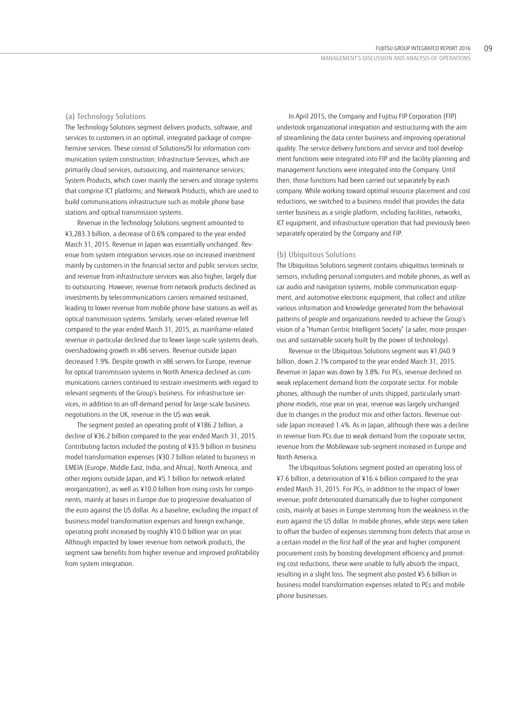### (a) Technology Solutions

The Technology Solutions segment delivers products, software, and services to customers in an optimal, integrated package of comprehensive services. These consist of Solutions/SI for information communication system construction; Infrastructure Services, which are primarily cloud services, outsourcing, and maintenance services; System Products, which cover mainly the servers and storage systems that comprise ICT platforms; and Network Products, which are used to build communications infrastructure such as mobile phone base stations and optical transmission systems.

Revenue in the Technology Solutions segment amounted to ¥3,283.3 billion, a decrease of 0.6% compared to the year ended March 31, 2015. Revenue in Japan was essentially unchanged. Revenue from system integration services rose on increased investment mainly by customers in the financial sector and public services sector, and revenue from infrastructure services was also higher, largely due to outsourcing. However, revenue from network products declined as investments by telecommunications carriers remained restrained, leading to lower revenue from mobile phone base stations as well as optical transmission systems. Similarly, server-related revenue fell compared to the year ended March 31, 2015, as mainframe-related revenue in particular declined due to fewer large-scale systems deals, overshadowing growth in x86 servers. Revenue outside Japan decreased 1.9%. Despite growth in x86 servers for Europe, revenue for optical transmission systems in North America declined as communications carriers continued to restrain investments with regard to relevant segments of the Group's business. For infrastructure services, in addition to an off-demand period for large-scale business negotiations in the UK, revenue in the US was weak.

The segment posted an operating profit of ¥186.2 billion, a decline of ¥36.2 billion compared to the year ended March 31, 2015. Contributing factors included the posting of ¥35.9 billion in business model transformation expenses (¥30.7 billion related to business in EMEIA (Europe, Middle East, India, and Africa), North America, and other regions outside Japan, and ¥5.1 billion for network-related reorganization), as well as ¥10.0 billion from rising costs for components, mainly at bases in Europe due to progressive devaluation of the euro against the US dollar. As a baseline, excluding the impact of business model transformation expenses and foreign exchange, operating profit increased by roughly ¥10.0 billion year on year. Although impacted by lower revenue from network products, the segment saw benefits from higher revenue and improved profitability from system integration.

In April 2015, the Company and Fujitsu FIP Corporation (FIP) undertook organizational integration and restructuring with the aim of streamlining the data center business and improving operational quality. The service delivery functions and service and tool development functions were integrated into FIP and the facility planning and management functions were integrated into the Company. Until then, those functions had been carried out separately by each company. While working toward optimal resource placement and cost reductions, we switched to a business model that provides the data center business as a single platform, including facilities, networks, ICT equipment, and infrastructure operation that had previously been separately operated by the Company and FIP.

#### (b) Ubiquitous Solutions

The Ubiquitous Solutions segment contains ubiquitous terminals or sensors, including personal computers and mobile phones, as well as car audio and navigation systems, mobile communication equipment, and automotive electronic equipment, that collect and utilize various information and knowledge generated from the behavioral patterns of people and organizations needed to achieve the Group's vision of a "Human Centric Intelligent Society" (a safer, more prosperous and sustainable society built by the power of technology).

Revenue in the Ubiquitous Solutions segment was ¥1,040.9 billion, down 2.1% compared to the year ended March 31, 2015. Revenue in Japan was down by 3.8%. For PCs, revenue declined on weak replacement demand from the corporate sector. For mobile phones, although the number of units shipped, particularly smartphone models, rose year on year, revenue was largely unchanged due to changes in the product mix and other factors. Revenue outside Japan increased 1.4%. As in Japan, although there was a decline in revenue from PCs due to weak demand from the corporate sector, revenue from the Mobileware sub-segment increased in Europe and North America.

The Ubiquitous Solutions segment posted an operating loss of ¥7.6 billion, a deterioration of ¥16.4 billion compared to the year ended March 31, 2015. For PCs, in addition to the impact of lower revenue, profit deteriorated dramatically due to higher component costs, mainly at bases in Europe stemming from the weakness in the euro against the US dollar. In mobile phones, while steps were taken to offset the burden of expenses stemming from defects that arose in a certain model in the first half of the year and higher component procurement costs by boosting development efficiency and promoting cost reductions, these were unable to fully absorb the impact, resulting in a slight loss. The segment also posted ¥5.6 billion in business model transformation expenses related to PCs and mobile phone businesses.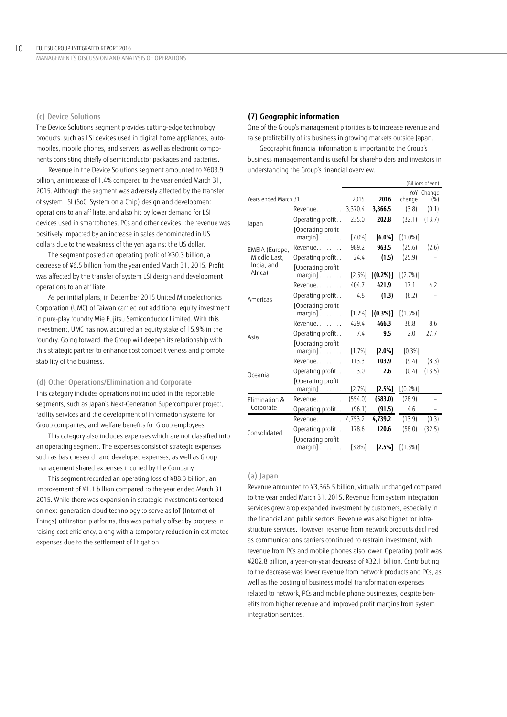#### (c) Device Solutions

The Device Solutions segment provides cutting-edge technology products, such as LSI devices used in digital home appliances, automobiles, mobile phones, and servers, as well as electronic components consisting chiefly of semiconductor packages and batteries.

Revenue in the Device Solutions segment amounted to ¥603.9 billion, an increase of 1.4% compared to the year ended March 31, 2015. Although the segment was adversely affected by the transfer of system LSI (SoC: System on a Chip) design and development operations to an affiliate, and also hit by lower demand for LSI devices used in smartphones, PCs and other devices, the revenue was positively impacted by an increase in sales denominated in US dollars due to the weakness of the yen against the US dollar.

The segment posted an operating profit of ¥30.3 billion, a decrease of ¥6.5 billion from the year ended March 31, 2015. Profit was affected by the transfer of system LSI design and development operations to an affiliate.

As per initial plans, in December 2015 United Microelectronics Corporation (UMC) of Taiwan carried out additional equity investment in pure-play foundry Mie Fujitsu Semiconductor Limited. With this investment, UMC has now acquired an equity stake of 15.9% in the foundry. Going forward, the Group will deepen its relationship with this strategic partner to enhance cost competitiveness and promote stability of the business.

### (d) Other Operations/Elimination and Corporate

This category includes operations not included in the reportable segments, such as Japan's Next-Generation Supercomputer project, facility services and the development of information systems for Group companies, and welfare benefits for Group employees.

This category also includes expenses which are not classified into an operating segment. The expenses consist of strategic expenses such as basic research and developed expenses, as well as Group management shared expenses incurred by the Company.

This segment recorded an operating loss of ¥88.3 billion, an improvement of ¥1.1 billion compared to the year ended March 31, 2015. While there was expansion in strategic investments centered on next-generation cloud technology to serve as IoT (Internet of Things) utilization platforms, this was partially offset by progress in raising cost efficiency, along with a temporary reduction in estimated expenses due to the settlement of litigation.

#### **(7) Geographic information**

One of the Group's management priorities is to increase revenue and raise profitability of its business in growing markets outside Japan.

Geographic financial information is important to the Group's business management and is useful for shareholders and investors in understanding the Group's financial overview.

|                       |                                              |           |             |             | (Billions of yen) |
|-----------------------|----------------------------------------------|-----------|-------------|-------------|-------------------|
| Years ended March 31  |                                              | 2015      | 2016        | change      | YoY Change<br>(%) |
|                       | Revenue                                      | 3,370.4   | 3,366.5     | (3.8)       | (0.1)             |
| Japan                 | Operating profit                             | 235.0     | 202.8       | (32.1)      | (13.7)            |
|                       | Operating profit<br>$margin] \ldots \ldots$  | $[7.0\%]$ | $[6.0\%]$   | $[(1.0\%)]$ |                   |
| EMEIA (Europe,        | Revenue                                      | 989.2     | 963.5       | (25.6)      | (2.6)             |
| Middle East,          | Operating profit                             | 24.4      | (1.5)       | (25.9)      |                   |
| India, and<br>Africa) | Operating profit<br>$margin] \ldots \ldots$  | [2.5%]    | $[(0.2\%)]$ | $[(2.7\%)]$ |                   |
| Americas              | Revenue                                      | 404.7     | 421.9       | 17.1        | 4.2               |
|                       | Operating profit                             | 4.8       | (1.3)       | (6.2)       |                   |
|                       | Operating profit<br>$margin] \ldots \ldots$  | [1.2%]    | $[(0.3\%)]$ | $[(1.5\%)]$ |                   |
|                       | Revenue                                      | 429.4     | 466.3       | 36.8        | 8.6               |
| Asia                  | Operating profit                             | 7.4       | 9.5         | 2.0         | 27.7              |
|                       | [Operating profit<br>$margin] \ldots \ldots$ | [1.7%]    | $[2.0\%]$   | [0.3%]      |                   |
|                       | Revenue.                                     | 113.3     | 103.9       | (9.4)       | (8.3)             |
| Oceania               | Operating profit                             | 3.0       | 2.6         | (0.4)       | (13.5)            |
|                       | [Operating profit<br>$margin] \ldots \ldots$ | [2.7%]    | [2.5%]      | $[(0.2\%)]$ |                   |
| Elimination &         | Revenue                                      | (554.0)   | (583.0)     | (28.9)      |                   |
| Corporate             | Operating profit                             | (96.1)    | (91.5)      | 4.6         |                   |
|                       | Revenue                                      | 4,753.2   | 4,739.2     | (13.9)      | (0.3)             |
| Consolidated          | Operating profit                             | 178.6     | 120.6       | (58.0)      | (32.5)            |
|                       | Operating profit<br>$margin] \ldots \ldots$  | [3.8%]    | [2.5%]      | $[(1.3\%)]$ |                   |

#### (a) Japan

Revenue amounted to ¥3,366.5 billion, virtually unchanged compared to the year ended March 31, 2015. Revenue from system integration services grew atop expanded investment by customers, especially in the financial and public sectors. Revenue was also higher for infrastructure services. However, revenue from network products declined as communications carriers continued to restrain investment, with revenue from PCs and mobile phones also lower. Operating profit was ¥202.8 billion, a year-on-year decrease of ¥32.1 billion. Contributing to the decrease was lower revenue from network products and PCs, as well as the posting of business model transformation expenses related to network, PCs and mobile phone businesses, despite benefits from higher revenue and improved profit margins from system integration services.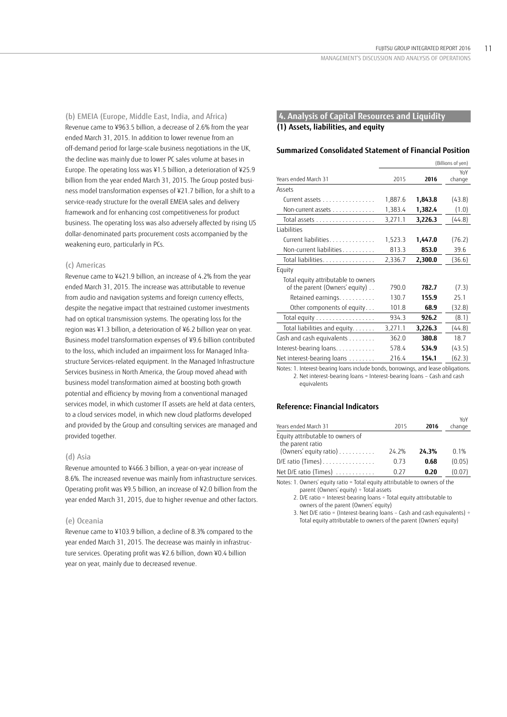(b) EMEIA (Europe, Middle East, India, and Africa) Revenue came to ¥963.5 billion, a decrease of 2.6% from the year ended March 31, 2015. In addition to lower revenue from an off-demand period for large-scale business negotiations in the UK, the decline was mainly due to lower PC sales volume at bases in Europe. The operating loss was ¥1.5 billion, a deterioration of ¥25.9 billion from the year ended March 31, 2015. The Group posted business model transformation expenses of ¥21.7 billion, for a shift to a service-ready structure for the overall EMEIA sales and delivery framework and for enhancing cost competitiveness for product business. The operating loss was also adversely affected by rising US dollar-denominated parts procurement costs accompanied by the weakening euro, particularly in PCs.

### (c) Americas

Revenue came to ¥421.9 billion, an increase of 4.2% from the year ended March 31, 2015. The increase was attributable to revenue from audio and navigation systems and foreign currency effects, despite the negative impact that restrained customer investments had on optical transmission systems. The operating loss for the region was ¥1.3 billion, a deterioration of ¥6.2 billion year on year. Business model transformation expenses of ¥9.6 billion contributed to the loss, which included an impairment loss for Managed Infrastructure Services-related equipment. In the Managed Infrastructure Services business in North America, the Group moved ahead with business model transformation aimed at boosting both growth potential and efficiency by moving from a conventional managed services model, in which customer IT assets are held at data centers, to a cloud services model, in which new cloud platforms developed and provided by the Group and consulting services are managed and provided together.

#### (d) Asia

Revenue amounted to ¥466.3 billion, a year-on-year increase of 8.6%. The increased revenue was mainly from infrastructure services. Operating profit was ¥9.5 billion, an increase of ¥2.0 billion from the year ended March 31, 2015, due to higher revenue and other factors.

#### (e) Oceania

Revenue came to ¥103.9 billion, a decline of 8.3% compared to the year ended March 31, 2015. The decrease was mainly in infrastructure services. Operating profit was ¥2.6 billion, down ¥0.4 billion year on year, mainly due to decreased revenue.

# **4. Analysis of Capital Resources and Liquidity (1) Assets, liabilities, and equity**

### **Summarized Consolidated Statement of Financial Position**

|                                     | (Billions of yen) |         |               |
|-------------------------------------|-------------------|---------|---------------|
| Years ended March 31                | 2015              | 2016    | YoY<br>change |
| Assets                              |                   |         |               |
| Current assets                      | 1,887.6           | 1,843.8 | (43.8)        |
| Non-current assets                  | 1,383.4           | 1,382.4 | (1.0)         |
| Total assets                        | 3,271.1           | 3,226.3 | (44.8)        |
| <b>Liabilities</b>                  |                   |         |               |
| Current liabilities                 | 1,523.3           | 1,447.0 | (76.2)        |
| Non-current liabilities             | 813.3             | 853.0   | 39.6          |
| Total liabilities                   | 2,336.7           | 2,300.0 | (36.6)        |
| Equity                              |                   |         |               |
| Total equity attributable to owners |                   |         |               |
| of the parent (Owners' equity)      | 790.0             | 782.7   | (7.3)         |
| Retained earnings                   | 130.7             | 155.9   | 25.1          |
| Other components of equity          | 101.8             | 68.9    | (32.8)        |
| Total equity                        | 934.3             | 926.2   | (8.1)         |
| Total liabilities and equity.       | 3,271.1           | 3,226.3 | (44.8)        |
| Cash and cash equivalents           | 362.0             | 380.8   | 18.7          |
| Interest-bearing loans              | 578.4             | 534.9   | (43.5)        |
| Net interest-bearing loans          | 216.4             | 154.1   | (62.3)        |
|                                     |                   |         |               |

 Notes: 1. Interest-bearing loans include bonds, borrowings, and lease obligations. 2. Net interest-bearing loans = Interest-bearing loans – Cash and cash equivalents

# **Reference: Financial Indicators**

| Years ended March 31                                                           | 2015  | 2016  | YoY<br>change |
|--------------------------------------------------------------------------------|-------|-------|---------------|
| Equity attributable to owners of<br>the parent ratio<br>(Owners' equity ratio) | 24.2% | 24.3% | $0.1\%$       |
| $D/E$ ratio (Times)                                                            | 0.73  | 0.68  | (0.05)        |
| Net D/E ratio (Times)                                                          | O 27  | 0.20  | (0.07)        |

 Notes: 1. Owners' equity ratio = Total equity attributable to owners of the parent (Owners' equity) ÷ Total assets

2. D/E ratio = Interest-bearing loans ÷ Total equity attributable to owners of the parent (Owners' equity)

3. Net D/E ratio = (Interest-bearing loans – Cash and cash equivalents) ÷ Total equity attributable to owners of the parent (Owners' equity)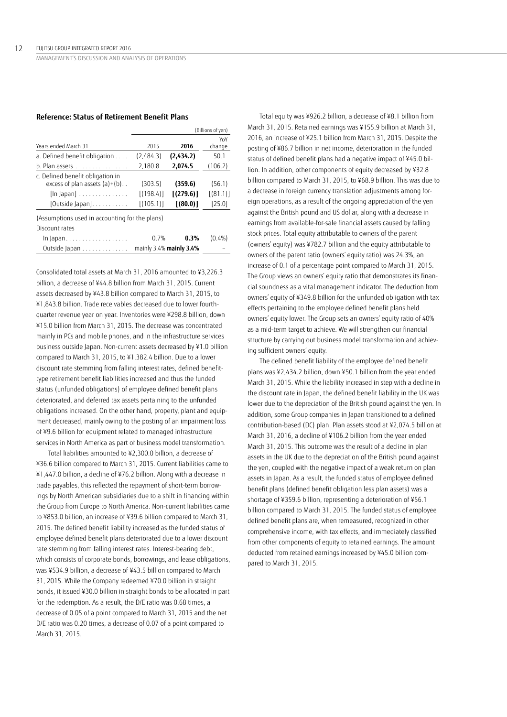# **Reference: Status of Retirement Benefit Plans**

|                                                                                                                                  |                                   |                                    | (Billions of yen)              |
|----------------------------------------------------------------------------------------------------------------------------------|-----------------------------------|------------------------------------|--------------------------------|
| Years ended March 31                                                                                                             | 2015                              | 2016                               | YoY<br>change                  |
| a. Defined benefit obligation                                                                                                    | (2,484.3)                         | (2,434.2)                          | 50.1                           |
| b. Plan assets                                                                                                                   | 2,180.8                           | 2,074.5                            | (106.2)                        |
| c. Defined benefit obligation in<br>excess of plan assets $(a)+(b)$<br>$\lceil \ln \rceil$ apan $\rceil$<br>$[Outside]$ apan $]$ | (303.5)<br>[(198.4)]<br>[(105.1)] | (359.6)<br>[(279.6)]<br>$(80.0)$ ] | (56.1)<br>[(81.1)]<br>$[25.0]$ |
| (Assumptions used in accounting for the plans)<br>Discount rates                                                                 |                                   |                                    |                                |
| In Japan.                                                                                                                        | 0.7%                              | 0.3%                               | $(0.4\%)$                      |
| Outside Japan $\ldots \ldots \ldots \ldots$ mainly 3.4% mainly 3.4%                                                              |                                   |                                    |                                |

Consolidated total assets at March 31, 2016 amounted to ¥3,226.3 billion, a decrease of ¥44.8 billion from March 31, 2015. Current assets decreased by ¥43.8 billion compared to March 31, 2015, to ¥1,843.8 billion. Trade receivables decreased due to lower fourthquarter revenue year on year. Inventories were ¥298.8 billion, down ¥15.0 billion from March 31, 2015. The decrease was concentrated mainly in PCs and mobile phones, and in the infrastructure services business outside Japan. Non-current assets decreased by ¥1.0 billion compared to March 31, 2015, to ¥1,382.4 billion. Due to a lower discount rate stemming from falling interest rates, defined benefittype retirement benefit liabilities increased and thus the funded status (unfunded obligations) of employee defined benefit plans deteriorated, and deferred tax assets pertaining to the unfunded obligations increased. On the other hand, property, plant and equipment decreased, mainly owing to the posting of an impairment loss of ¥9.6 billion for equipment related to managed infrastructure services in North America as part of business model transformation.

Total liabilities amounted to ¥2,300.0 billion, a decrease of ¥36.6 billion compared to March 31, 2015. Current liabilities came to ¥1,447.0 billion, a decline of ¥76.2 billion. Along with a decrease in trade payables, this reflected the repayment of short-term borrowings by North American subsidiaries due to a shift in financing within the Group from Europe to North America. Non-current liabilities came to ¥853.0 billion, an increase of ¥39.6 billion compared to March 31, 2015. The defined benefit liability increased as the funded status of employee defined benefit plans deteriorated due to a lower discount rate stemming from falling interest rates. Interest-bearing debt, which consists of corporate bonds, borrowings, and lease obligations, was ¥534.9 billion, a decrease of ¥43.5 billion compared to March 31, 2015. While the Company redeemed ¥70.0 billion in straight bonds, it issued ¥30.0 billion in straight bonds to be allocated in part for the redemption. As a result, the D/E ratio was 0.68 times, a decrease of 0.05 of a point compared to March 31, 2015 and the net D/E ratio was 0.20 times, a decrease of 0.07 of a point compared to March 31, 2015.

Total equity was ¥926.2 billion, a decrease of ¥8.1 billion from March 31, 2015. Retained earnings was ¥155.9 billion at March 31, 2016, an increase of ¥25.1 billion from March 31, 2015. Despite the posting of ¥86.7 billion in net income, deterioration in the funded status of defined benefit plans had a negative impact of ¥45.0 billion. In addition, other components of equity decreased by ¥32.8 billion compared to March 31, 2015, to ¥68.9 billion. This was due to a decrease in foreign currency translation adjustments among foreign operations, as a result of the ongoing appreciation of the yen against the British pound and US dollar, along with a decrease in earnings from available-for-sale financial assets caused by falling stock prices. Total equity attributable to owners of the parent (owners' equity) was ¥782.7 billion and the equity attributable to owners of the parent ratio (owners' equity ratio) was 24.3%, an increase of 0.1 of a percentage point compared to March 31, 2015. The Group views an owners' equity ratio that demonstrates its financial soundness as a vital management indicator. The deduction from owners' equity of ¥349.8 billion for the unfunded obligation with tax effects pertaining to the employee defined benefit plans held owners' equity lower. The Group sets an owners' equity ratio of 40% as a mid-term target to achieve. We will strengthen our financial structure by carrying out business model transformation and achieving sufficient owners' equity.

The defined benefit liability of the employee defined benefit plans was ¥2,434.2 billion, down ¥50.1 billion from the year ended March 31, 2015. While the liability increased in step with a decline in the discount rate in Japan, the defined benefit liability in the UK was lower due to the depreciation of the British pound against the yen. In addition, some Group companies in Japan transitioned to a defined contribution-based (DC) plan. Plan assets stood at ¥2,074.5 billion at March 31, 2016, a decline of ¥106.2 billion from the year ended March 31, 2015. This outcome was the result of a decline in plan assets in the UK due to the depreciation of the British pound against the yen, coupled with the negative impact of a weak return on plan assets in Japan. As a result, the funded status of employee defined benefit plans (defined benefit obligation less plan assets) was a shortage of ¥359.6 billion, representing a deterioration of ¥56.1 billion compared to March 31, 2015. The funded status of employee defined benefit plans are, when remeasured, recognized in other comprehensive income, with tax effects, and immediately classified from other components of equity to retained earnings. The amount deducted from retained earnings increased by ¥45.0 billion compared to March 31, 2015.